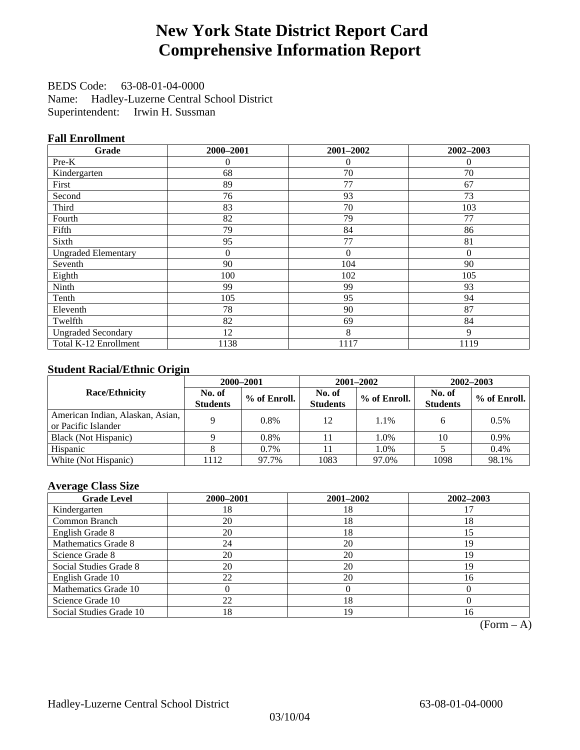## **New York State District Report Card Comprehensive Information Report**

BEDS Code: 63-08-01-04-0000 Name: Hadley-Luzerne Central School District Superintendent: Irwin H. Sussman

### **Fall Enrollment**

| Grade                      | 2000-2001      | 2001-2002      | 2002-2003 |
|----------------------------|----------------|----------------|-----------|
| $Pre-K$                    | $\theta$       | $\overline{0}$ | $\theta$  |
| Kindergarten               | 68             | 70             | 70        |
| First                      | 89             | 77             | 67        |
| Second                     | 76             | 93             | 73        |
| Third                      | 83             | 70             | 103       |
| Fourth                     | 82             | 79             | 77        |
| Fifth                      | 79             | 84             | 86        |
| Sixth                      | 95             | 77             | 81        |
| <b>Ungraded Elementary</b> | $\overline{0}$ | $\theta$       | $\theta$  |
| Seventh                    | 90             | 104            | 90        |
| Eighth                     | 100            | 102            | 105       |
| Ninth                      | 99             | 99             | 93        |
| Tenth                      | 105            | 95             | 94        |
| Eleventh                   | 78             | 90             | 87        |
| Twelfth                    | 82             | 69             | 84        |
| <b>Ungraded Secondary</b>  | 12             | 8              | 9         |
| Total K-12 Enrollment      | 1138           | 1117           | 1119      |

### **Student Racial/Ethnic Origin**

|                                                         |                           | 2001-2002<br>$2002 - 2003$<br>2000-2001 |                           |              |                           |                |
|---------------------------------------------------------|---------------------------|-----------------------------------------|---------------------------|--------------|---------------------------|----------------|
| <b>Race/Ethnicity</b>                                   | No. of<br><b>Students</b> | % of Enroll.                            | No. of<br><b>Students</b> | % of Enroll. | No. of<br><b>Students</b> | $%$ of Enroll. |
| American Indian, Alaskan, Asian,<br>or Pacific Islander |                           | $0.8\%$                                 | 12                        | 1.1%         |                           | 0.5%           |
| Black (Not Hispanic)                                    |                           | 0.8%                                    |                           | 1.0%         | 10                        | 0.9%           |
| Hispanic                                                |                           | $0.7\%$                                 |                           | 1.0%         |                           | $0.4\%$        |
| White (Not Hispanic)                                    | 112                       | 97.7%                                   | 1083                      | 97.0%        | 1098                      | 98.1%          |

### **Average Class Size**

| <b>Grade Level</b>      | 2000-2001 | 2001-2002 | 2002-2003 |
|-------------------------|-----------|-----------|-----------|
| Kindergarten            | 18        | 18        |           |
| Common Branch           | 20        | 18        | 18        |
| English Grade 8         | 20        | 18        | 15        |
| Mathematics Grade 8     | 24        | 20        | 19        |
| Science Grade 8         | 20        | 20        | 19        |
| Social Studies Grade 8  | 20        | 20        | 19        |
| English Grade 10        | 22        | 20        | 16        |
| Mathematics Grade 10    |           |           |           |
| Science Grade 10        | 22        | 18        |           |
| Social Studies Grade 10 | 18        | 19        | 16        |

 $(Form - A)$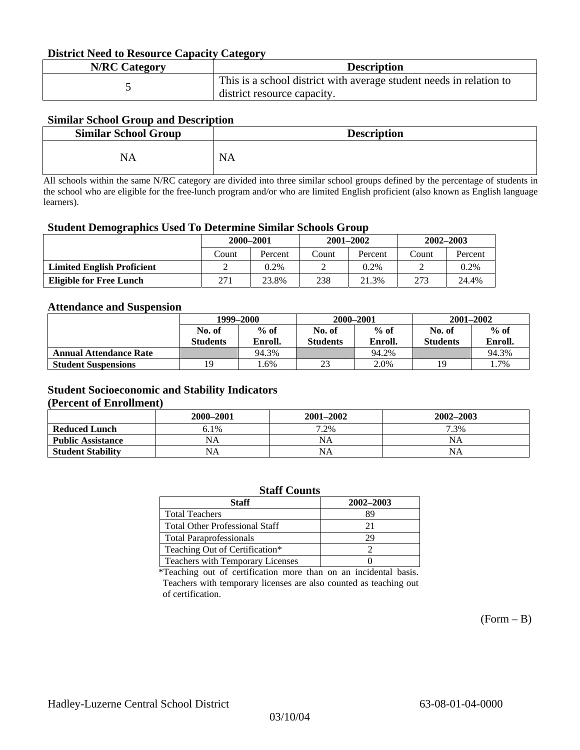#### **District Need to Resource Capacity Category**

| <b>N/RC Category</b> | <b>Description</b>                                                                                 |
|----------------------|----------------------------------------------------------------------------------------------------|
|                      | This is a school district with average student needs in relation to<br>district resource capacity. |

### **Similar School Group and Description**

| <b>Similar School Group</b> | <b>Description</b> |
|-----------------------------|--------------------|
| NA                          | <b>NA</b>          |

All schools within the same N/RC category are divided into three similar school groups defined by the percentage of students in the school who are eligible for the free-lunch program and/or who are limited English proficient (also known as English language learners).

#### **Student Demographics Used To Determine Similar Schools Group**

| 0                                 | 2000-2001 |         |       | $2001 - 2002$ | $2002 - 2003$ |         |
|-----------------------------------|-----------|---------|-------|---------------|---------------|---------|
|                                   | Count     | Percent | Count | Percent       | Count         | Percent |
| <b>Limited English Proficient</b> |           | 0.2%    |       | $0.2\%$       |               | 0.2%    |
| <b>Eligible for Free Lunch</b>    | 271       | 23.8%   | 238   | 21.3%         | 273           | 24.4%   |

#### **Attendance and Suspension**

|                               | 1999–2000       |         |                 | 2000-2001 | $2001 - 2002$   |         |
|-------------------------------|-----------------|---------|-----------------|-----------|-----------------|---------|
|                               | No. of          | $%$ of  | No. of          | $%$ of    | No. of          | $\%$ of |
|                               | <b>Students</b> | Enroll. | <b>Students</b> | Enroll.   | <b>Students</b> | Enroll. |
| <b>Annual Attendance Rate</b> |                 | 94.3%   |                 | 94.2%     |                 | 94.3%   |
| <b>Student Suspensions</b>    | 19              | .6%     | 23              | 2.0%      | 19              | l.7%    |

### **Student Socioeconomic and Stability Indicators**

#### **(Percent of Enrollment)**

|                          | 2000-2001 | $2001 - 2002$ | 2002-2003 |
|--------------------------|-----------|---------------|-----------|
| <b>Reduced Lunch</b>     | 6.1%      | 7.2%          | 7.3%      |
| <b>Public Assistance</b> | NA        | NA            | NA        |
| <b>Student Stability</b> | NA        | NA            | NA        |

| <b>Staff Counts</b>                   |           |  |  |  |  |
|---------------------------------------|-----------|--|--|--|--|
| <b>Staff</b>                          | 2002-2003 |  |  |  |  |
| <b>Total Teachers</b>                 | 89        |  |  |  |  |
| <b>Total Other Professional Staff</b> | 21        |  |  |  |  |
| <b>Total Paraprofessionals</b>        | 29        |  |  |  |  |
| Teaching Out of Certification*        |           |  |  |  |  |
| Teachers with Temporary Licenses      |           |  |  |  |  |

\*Teaching out of certification more than on an incidental basis. Teachers with temporary licenses are also counted as teaching out of certification.

 $(Form - B)$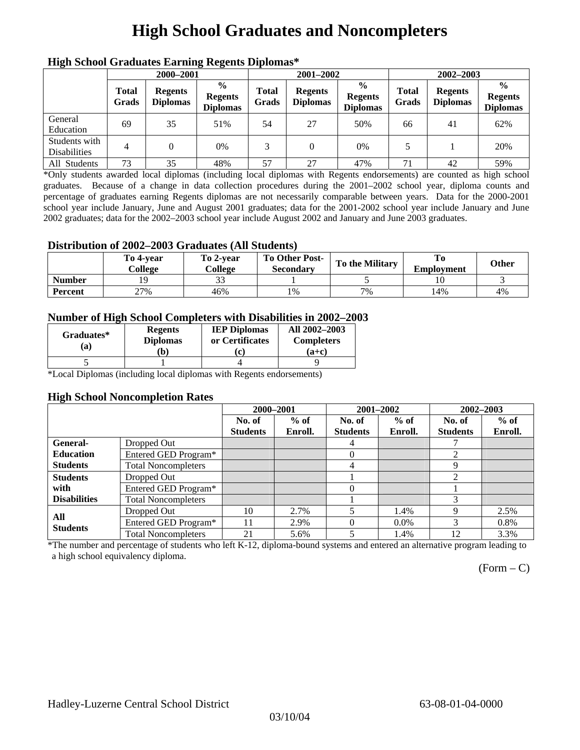## **High School Graduates and Noncompleters**

| ніді эспол этайнакі патінід кеденія вірюшая |                       |                                   |                                                    |                       |                                   |                                                    |                       |                                   |                                                    |  |
|---------------------------------------------|-----------------------|-----------------------------------|----------------------------------------------------|-----------------------|-----------------------------------|----------------------------------------------------|-----------------------|-----------------------------------|----------------------------------------------------|--|
|                                             | 2000-2001             |                                   |                                                    |                       | 2001-2002                         |                                                    |                       | 2002-2003                         |                                                    |  |
|                                             | <b>Total</b><br>Grads | <b>Regents</b><br><b>Diplomas</b> | $\frac{6}{9}$<br><b>Regents</b><br><b>Diplomas</b> | <b>Total</b><br>Grads | <b>Regents</b><br><b>Diplomas</b> | $\frac{6}{6}$<br><b>Regents</b><br><b>Diplomas</b> | <b>Total</b><br>Grads | <b>Regents</b><br><b>Diplomas</b> | $\frac{0}{0}$<br><b>Regents</b><br><b>Diplomas</b> |  |
| General<br>Education                        | 69                    | 35                                | 51%                                                | 54                    | 27                                | 50%                                                | 66                    | 41                                | 62%                                                |  |
| Students with<br><b>Disabilities</b>        | 4                     |                                   | $0\%$                                              | 3                     | $\theta$                          | 0%                                                 |                       |                                   | 20%                                                |  |
| All Students                                | 73                    | 35                                | 48%                                                | 57                    | 27                                | 47%                                                | 71                    | 42                                | 59%                                                |  |

### **High School Graduates Earning Regents Diplomas\***

\*Only students awarded local diplomas (including local diplomas with Regents endorsements) are counted as high school graduates. Because of a change in data collection procedures during the 2001–2002 school year, diploma counts and percentage of graduates earning Regents diplomas are not necessarily comparable between years. Data for the 2000-2001 school year include January, June and August 2001 graduates; data for the 2001-2002 school year include January and June 2002 graduates; data for the 2002–2003 school year include August 2002 and January and June 2003 graduates.

### **Distribution of 2002–2003 Graduates (All Students)**

|                | To 4-vear<br>College | To 2-vear<br>College | To Other Post-<br>Secondary | <b>To the Military</b> | <b>Employment</b> | Other |
|----------------|----------------------|----------------------|-----------------------------|------------------------|-------------------|-------|
| <b>Number</b>  |                      |                      |                             |                        |                   |       |
| <b>Percent</b> | 27%                  | 46%                  | 1%                          | 7%                     | 14%               | 4%    |

#### **Number of High School Completers with Disabilities in 2002–2003**

| Graduates*<br>(a) | <b>Regents</b><br><b>Diplomas</b> | <b>IEP Diplomas</b><br>or Certificates | All 2002-2003<br><b>Completers</b> |  |
|-------------------|-----------------------------------|----------------------------------------|------------------------------------|--|
|                   | b)                                | c                                      | (a+c)                              |  |
|                   |                                   |                                        |                                    |  |

\*Local Diplomas (including local diplomas with Regents endorsements)

#### **High School Noncompletion Rates**

|                     |                            | 2000-2001       |         |                 | 2001-2002 | 2002-2003       |         |
|---------------------|----------------------------|-----------------|---------|-----------------|-----------|-----------------|---------|
|                     |                            | No. of          | $%$ of  | No. of          | $%$ of    | No. of          | $%$ of  |
|                     |                            | <b>Students</b> | Enroll. | <b>Students</b> | Enroll.   | <b>Students</b> | Enroll. |
| General-            | Dropped Out                |                 |         | 4               |           |                 |         |
| <b>Education</b>    | Entered GED Program*       |                 |         | 0               |           | 2               |         |
| <b>Students</b>     | <b>Total Noncompleters</b> |                 |         | 4               |           | 9               |         |
| <b>Students</b>     | Dropped Out                |                 |         |                 |           | ↑               |         |
| with                | Entered GED Program*       |                 |         | 0               |           |                 |         |
| <b>Disabilities</b> | <b>Total Noncompleters</b> |                 |         |                 |           |                 |         |
| All                 | Dropped Out                | 10              | 2.7%    |                 | 1.4%      | 9               | 2.5%    |
| <b>Students</b>     | Entered GED Program*       | 11              | 2.9%    |                 | $0.0\%$   | 3               | 0.8%    |
|                     | <b>Total Noncompleters</b> | 21              | 5.6%    | 5               | 1.4%      | 12              | 3.3%    |

\*The number and percentage of students who left K-12, diploma-bound systems and entered an alternative program leading to a high school equivalency diploma.

 $(Form - C)$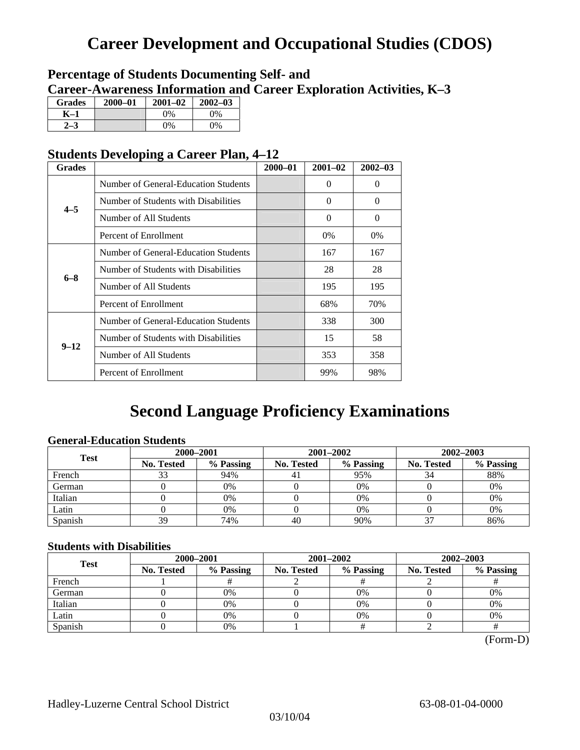## **Career Development and Occupational Studies (CDOS)**

### **Percentage of Students Documenting Self- and Career-Awareness Information and Career Exploration Activities, K–3**

| <b>Grades</b> | $2000 - 01$ | $2001 - 02$ | $2002 - 03$ |
|---------------|-------------|-------------|-------------|
| K–1           |             | $0\%$       | $0\%$       |
|               |             | $0\%$       | $0\%$       |

### **Students Developing a Career Plan, 4–12**

| <b>Grades</b>                                                                                                             |                                      | $2000 - 01$ | $2001 - 02$ | $2002 - 03$ |
|---------------------------------------------------------------------------------------------------------------------------|--------------------------------------|-------------|-------------|-------------|
|                                                                                                                           | Number of General-Education Students |             | $\theta$    | $\theta$    |
|                                                                                                                           | Number of Students with Disabilities |             | 0           | $\Omega$    |
|                                                                                                                           | Number of All Students               |             | $\theta$    | $\Omega$    |
|                                                                                                                           | Percent of Enrollment                |             | $0\%$       | 0%          |
|                                                                                                                           | Number of General-Education Students |             | 167         | 167         |
|                                                                                                                           | Number of Students with Disabilities |             | 28          | 28          |
|                                                                                                                           | Number of All Students               |             | 195         | 195         |
| $4 - 5$<br>$6 - 8$<br>Percent of Enrollment<br>Number of Students with Disabilities<br>$9 - 12$<br>Number of All Students |                                      | 68%         | 70%         |             |
|                                                                                                                           | Number of General-Education Students |             | 338         | 300         |
|                                                                                                                           |                                      |             | 15          | 58          |
|                                                                                                                           |                                      |             | 353         | 358         |
|                                                                                                                           | Percent of Enrollment                |             | 99%         | 98%         |

### **Second Language Proficiency Examinations**

### **General-Education Students**

| <b>Test</b> | 2000-2001         |           |            | 2001-2002 | 2002-2003  |           |  |
|-------------|-------------------|-----------|------------|-----------|------------|-----------|--|
|             | <b>No. Tested</b> | % Passing | No. Tested | % Passing | No. Tested | % Passing |  |
| French      |                   | 94%       | 41         | 95%       | 34         | 88%       |  |
| German      |                   | 0%        |            | $0\%$     |            | 0%        |  |
| Italian     |                   | 0%        |            | 0%        |            | 0%        |  |
| Latin       |                   | 0%        |            | $0\%$     |            | 0%        |  |
| Spanish     | 39                | 74%       | 40         | 90%       | $\sim$     | 86%       |  |

### **Students with Disabilities**

| <b>Test</b> | 2000-2001         |                                                                                                               |           | 2002-2003 |    |  |
|-------------|-------------------|---------------------------------------------------------------------------------------------------------------|-----------|-----------|----|--|
|             | <b>No. Tested</b> | 2001-2002<br>% Passing<br>% Passing<br><b>No. Tested</b><br>No. Tested<br>$0\%$<br>0%<br>0%<br>0%<br>0%<br>0% | % Passing |           |    |  |
| French      |                   |                                                                                                               |           |           |    |  |
| German      |                   |                                                                                                               |           |           | 0% |  |
| Italian     |                   |                                                                                                               |           |           | 0% |  |
| Latin       |                   |                                                                                                               |           |           | 0% |  |
| Spanish     |                   | 0%                                                                                                            |           |           |    |  |

(Form-D)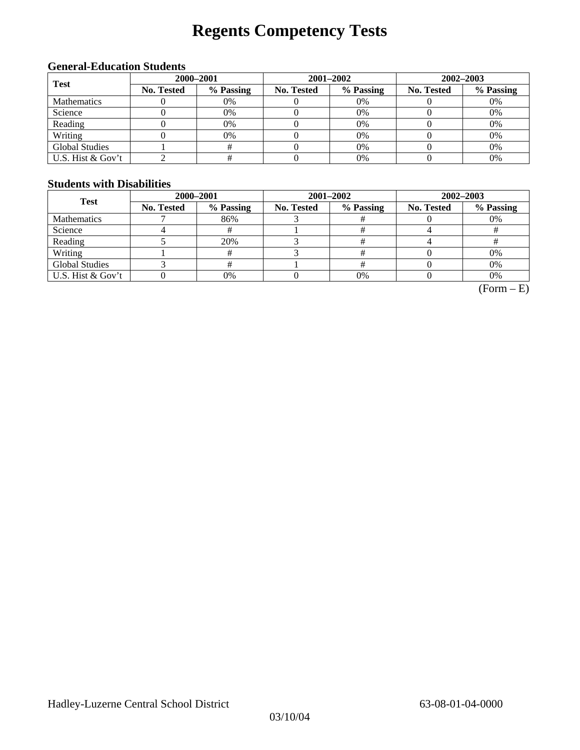# **Regents Competency Tests**

### **General-Education Students**

| <b>Test</b>           | 2000-2001         |                                                                                                                                   | $2001 - 2002$ | $2002 - 2003$ |    |  |
|-----------------------|-------------------|-----------------------------------------------------------------------------------------------------------------------------------|---------------|---------------|----|--|
|                       | <b>No. Tested</b> | % Passing<br>% Passing<br>No. Tested<br><b>No. Tested</b><br>0%<br>0%<br>0%<br>0%<br>0%<br>0%<br>0%<br>0%<br>0%<br>0%<br>0%<br>0% | % Passing     |               |    |  |
| <b>Mathematics</b>    |                   |                                                                                                                                   |               |               |    |  |
| Science               |                   |                                                                                                                                   |               |               |    |  |
| Reading               |                   |                                                                                                                                   |               |               |    |  |
| Writing               |                   |                                                                                                                                   |               |               |    |  |
| <b>Global Studies</b> |                   |                                                                                                                                   | 0%            |               | 0% |  |
| U.S. Hist & Gov't     |                   |                                                                                                                                   | 0%            |               | 0% |  |

#### **Students with Disabilities**

| <b>Test</b>           | 2000-2001  |           |            | 2001-2002 | 2002-2003         |           |  |
|-----------------------|------------|-----------|------------|-----------|-------------------|-----------|--|
|                       | No. Tested | % Passing | No. Tested | % Passing | <b>No. Tested</b> | % Passing |  |
| <b>Mathematics</b>    |            | 86%       |            |           |                   | 0%        |  |
| Science               |            |           |            |           |                   |           |  |
| Reading               |            | 20%       |            |           |                   |           |  |
| Writing               |            |           |            |           |                   | 0%        |  |
| <b>Global Studies</b> |            |           |            |           |                   | 0%        |  |
| U.S. Hist & Gov't     |            | 0%        |            | 0%        |                   | 0%        |  |

 $(Form - E)$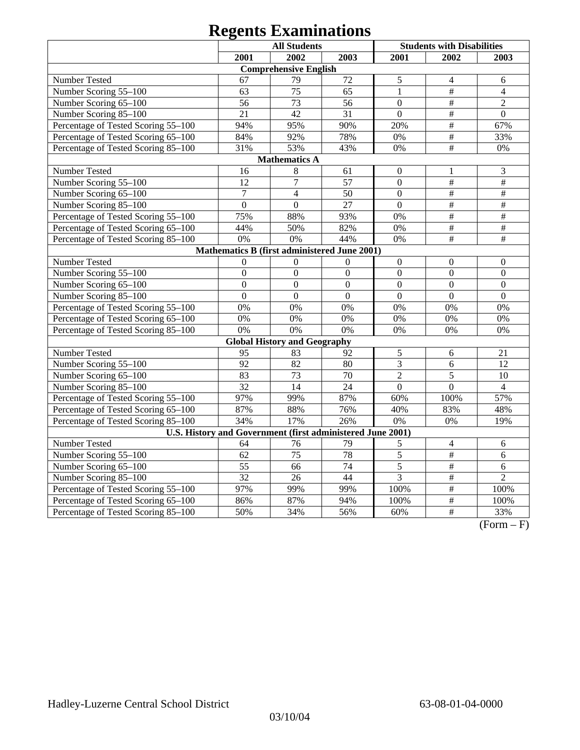|                                                            |                  | <b>All Students</b>                          |                 |                  | <b>Students with Disabilities</b> |                           |
|------------------------------------------------------------|------------------|----------------------------------------------|-----------------|------------------|-----------------------------------|---------------------------|
|                                                            | 2001             | 2002                                         | 2003            | 2001             | 2002                              | 2003                      |
|                                                            |                  | <b>Comprehensive English</b>                 |                 |                  |                                   |                           |
| Number Tested                                              | 67               | 79                                           | 72              | 5                | $\overline{4}$                    | 6                         |
| Number Scoring 55-100                                      | 63               | $\overline{75}$                              | 65              | $\mathbf{1}$     | $\#$                              | $\overline{4}$            |
| Number Scoring 65-100                                      | 56               | 73                                           | 56              | $\Omega$         | $\#$                              | $\overline{2}$            |
| Number Scoring 85-100                                      | $\overline{21}$  | 42                                           | $\overline{31}$ | $\overline{0}$   | $\overline{\#}$                   | $\overline{0}$            |
| Percentage of Tested Scoring 55-100                        | 94%              | 95%                                          | 90%             | 20%              | $\overline{\overline{H}}$         | 67%                       |
| Percentage of Tested Scoring 65-100                        | 84%              | 92%                                          | 78%             | 0%               | $\#$                              | 33%                       |
| Percentage of Tested Scoring 85-100                        | 31%              | 53%                                          | 43%             | 0%               | $\#$                              | $0\%$                     |
|                                                            |                  | <b>Mathematics A</b>                         |                 |                  |                                   |                           |
| Number Tested                                              | 16               | 8                                            | 61              | $\boldsymbol{0}$ | 1                                 | 3                         |
| Number Scoring 55-100                                      | 12               | $\overline{7}$                               | 57              | $\boldsymbol{0}$ | $\#$                              | $\overline{\overline{t}}$ |
| Number Scoring 65-100                                      | $\overline{7}$   | $\overline{4}$                               | 50              | $\overline{0}$   | $\#$                              | $\#$                      |
| Number Scoring 85-100                                      | $\overline{0}$   | $\overline{0}$                               | 27              | $\overline{0}$   | $\overline{\overline{H}}$         | $\#$                      |
| Percentage of Tested Scoring 55-100                        | 75%              | 88%                                          | 93%             | 0%               | $\overline{\#}$                   | $\overline{\#}$           |
| Percentage of Tested Scoring 65-100                        | 44%              | 50%                                          | 82%             | 0%               | $\#$                              | $\#$                      |
| Percentage of Tested Scoring 85-100                        | 0%               | 0%                                           | 44%             | 0%               | $\#$                              | $\#$                      |
|                                                            |                  | Mathematics B (first administered June 2001) |                 |                  |                                   |                           |
| Number Tested                                              | $\boldsymbol{0}$ | $\overline{0}$                               | $\overline{0}$  | $\mathbf{0}$     | $\boldsymbol{0}$                  | $\boldsymbol{0}$          |
| Number Scoring 55-100                                      | $\overline{0}$   | $\overline{0}$                               | $\overline{0}$  | $\overline{0}$   | $\overline{0}$                    | $\overline{0}$            |
| Number Scoring 65-100                                      | $\overline{0}$   | $\mathbf{0}$                                 | $\overline{0}$  | $\overline{0}$   | $\overline{0}$                    | $\mathbf{0}$              |
| Number Scoring 85-100                                      | $\overline{0}$   | $\mathbf{0}$                                 | $\overline{0}$  | $\overline{0}$   | $\mathbf{0}$                      | $\mathbf{0}$              |
| Percentage of Tested Scoring 55-100                        | 0%               | 0%                                           | 0%              | 0%               | 0%                                | 0%                        |
| Percentage of Tested Scoring 65-100                        | 0%               | 0%                                           | 0%              | 0%               | 0%                                | 0%                        |
| Percentage of Tested Scoring 85-100                        | 0%               | 0%                                           | 0%              | 0%               | 0%                                | 0%                        |
|                                                            |                  | <b>Global History and Geography</b>          |                 |                  |                                   |                           |
| Number Tested                                              | 95               | 83                                           | 92              | $\sqrt{5}$       | 6                                 | 21                        |
| Number Scoring 55-100                                      | 92               | 82                                           | 80              | $\overline{3}$   | 6                                 | $\overline{12}$           |
| Number Scoring 65-100                                      | 83               | 73                                           | 70              | $\overline{2}$   | $\overline{5}$                    | 10                        |
| Number Scoring 85-100                                      | 32               | 14                                           | 24              | $\overline{0}$   | $\overline{0}$                    | $\overline{4}$            |
| Percentage of Tested Scoring 55-100                        | 97%              | 99%                                          | 87%             | 60%              | 100%                              | 57%                       |
| Percentage of Tested Scoring 65-100                        | 87%              | 88%                                          | 76%             | 40%              | 83%                               | 48%                       |
| Percentage of Tested Scoring 85-100                        | 34%              | 17%                                          | 26%             | 0%               | 0%                                | 19%                       |
| U.S. History and Government (first administered June 2001) |                  |                                              |                 |                  |                                   |                           |
| Number Tested                                              | 64               | 76                                           | 79              | 5                | $\overline{4}$                    | 6                         |
| Number Scoring 55-100                                      | 62               | $\overline{75}$                              | 78              | 5                | $\overline{\overline{H}}$         | 6                         |
| Number Scoring 65-100                                      | 55               | 66                                           | 74              | $\overline{5}$   | $\overline{\#}$                   | 6                         |
| Number Scoring 85-100                                      | $\overline{32}$  | 26                                           | 44              | 3                | $\#$                              | $\overline{2}$            |
| Percentage of Tested Scoring 55-100                        | 97%              | 99%                                          | 99%             | 100%             | #                                 | 100%                      |
| Percentage of Tested Scoring 65-100                        | 86%              | 87%                                          | 94%             | 100%             | $\#$                              | 100%                      |
| Percentage of Tested Scoring 85-100                        | 50%              | 34%                                          | 56%             | 60%              | #                                 | 33%                       |

 $(Form - F)$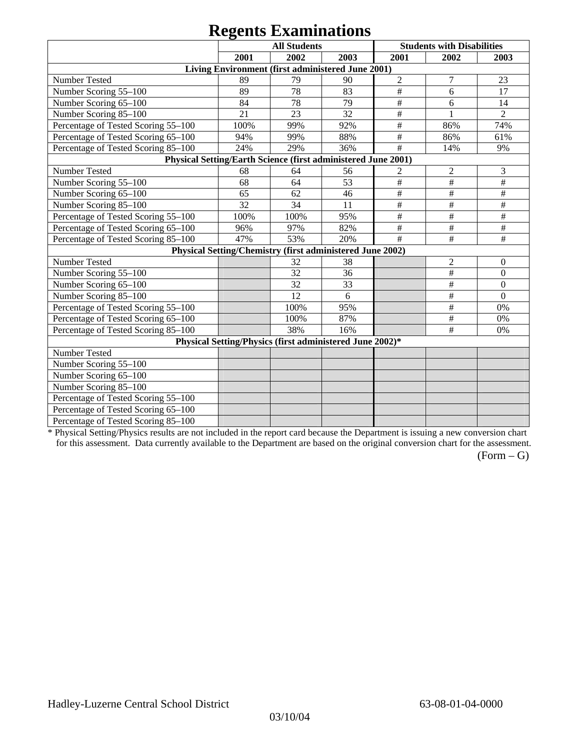|                                                               |      | $\sim$<br><b>All Students</b>                             |      |                           | <b>Students with Disabilities</b> |                  |
|---------------------------------------------------------------|------|-----------------------------------------------------------|------|---------------------------|-----------------------------------|------------------|
|                                                               | 2001 | 2002                                                      | 2003 | 2001                      | 2002                              | 2003             |
|                                                               |      | Living Environment (first administered June 2001)         |      |                           |                                   |                  |
| Number Tested                                                 | 89   | 79                                                        | 90   | $\overline{2}$            | $\overline{7}$                    | 23               |
| Number Scoring 55-100                                         | 89   | 78                                                        | 83   | $\#$                      | 6                                 | 17               |
| Number Scoring 65-100                                         | 84   | 78                                                        | 79   | $\#$                      | 6                                 | 14               |
| Number Scoring 85-100                                         | 21   | 23                                                        | 32   | $\overline{\overline{H}}$ |                                   | $\overline{2}$   |
| Percentage of Tested Scoring 55-100                           | 100% | 99%                                                       | 92%  | $\#$                      | 86%                               | 74%              |
| Percentage of Tested Scoring 65-100                           | 94%  | 99%                                                       | 88%  | $\#$                      | 86%                               | 61%              |
| Percentage of Tested Scoring 85-100                           | 24%  | 29%                                                       | 36%  | #                         | 14%                               | 9%               |
| Physical Setting/Earth Science (first administered June 2001) |      |                                                           |      |                           |                                   |                  |
| Number Tested                                                 | 68   | 64                                                        | 56   | $\overline{2}$            | $\overline{2}$                    | 3                |
| Number Scoring 55-100                                         | 68   | 64                                                        | 53   | $\overline{\overline{H}}$ | $\#$                              | $\#$             |
| Number Scoring 65-100                                         | 65   | 62                                                        | 46   | $\#$                      | $\#$                              | $\#$             |
| Number Scoring 85-100                                         | 32   | 34                                                        | 11   | $\#$                      | $\#$                              | $\#$             |
| Percentage of Tested Scoring 55-100                           | 100% | 100%                                                      | 95%  | $\#$                      | $\#$                              | $\#$             |
| Percentage of Tested Scoring 65-100                           | 96%  | 97%                                                       | 82%  | #                         | #                                 | #                |
| Percentage of Tested Scoring 85-100                           | 47%  | 53%                                                       | 20%  | #                         | $\#$                              | $\#$             |
|                                                               |      | Physical Setting/Chemistry (first administered June 2002) |      |                           |                                   |                  |
| Number Tested                                                 |      | 32                                                        | 38   |                           | $\overline{2}$                    | $\theta$         |
| Number Scoring 55-100                                         |      | 32                                                        | 36   |                           | $\#$                              | $\boldsymbol{0}$ |
| Number Scoring 65-100                                         |      | 32                                                        | 33   |                           | $\#$                              | $\mathbf{0}$     |
| Number Scoring 85-100                                         |      | 12                                                        | 6    |                           | $\#$                              | $\mathbf{0}$     |
| Percentage of Tested Scoring 55-100                           |      | 100%                                                      | 95%  |                           | $\#$                              | 0%               |
| Percentage of Tested Scoring 65-100                           |      | 100%                                                      | 87%  |                           | $\#$                              | 0%               |
| Percentage of Tested Scoring 85-100                           |      | 38%                                                       | 16%  |                           | #                                 | 0%               |
|                                                               |      | Physical Setting/Physics (first administered June 2002)*  |      |                           |                                   |                  |
| Number Tested                                                 |      |                                                           |      |                           |                                   |                  |
| Number Scoring 55-100                                         |      |                                                           |      |                           |                                   |                  |
| Number Scoring 65-100                                         |      |                                                           |      |                           |                                   |                  |
| Number Scoring 85-100                                         |      |                                                           |      |                           |                                   |                  |
| Percentage of Tested Scoring 55-100                           |      |                                                           |      |                           |                                   |                  |
| Percentage of Tested Scoring 65-100                           |      |                                                           |      |                           |                                   |                  |
| Percentage of Tested Scoring 85-100                           |      |                                                           |      |                           |                                   |                  |

\* Physical Setting/Physics results are not included in the report card because the Department is issuing a new conversion chart for this assessment. Data currently available to the Department are based on the original conversion chart for the assessment.

 $(Form - G)$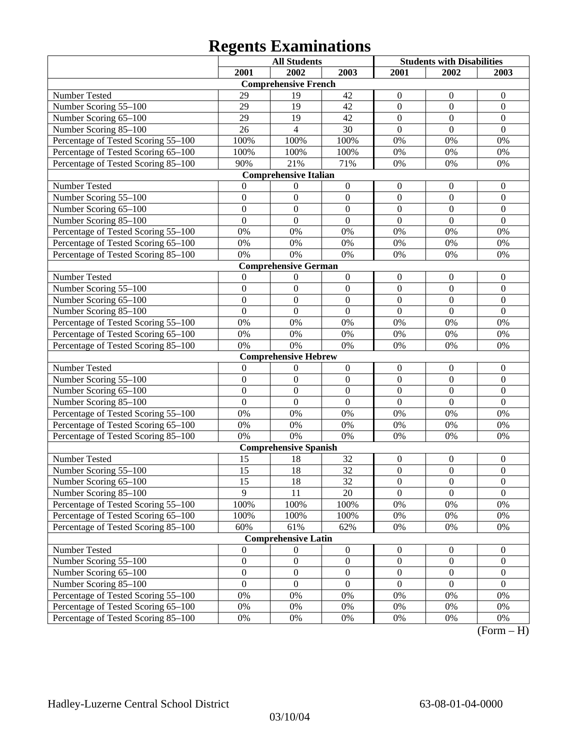|                                     | <b>All Students</b> |                              | <b>Students with Disabilities</b> |                  |                  |                  |
|-------------------------------------|---------------------|------------------------------|-----------------------------------|------------------|------------------|------------------|
|                                     | 2001                | 2002                         | 2003                              | 2001             | 2002             | 2003             |
|                                     |                     | <b>Comprehensive French</b>  |                                   |                  |                  |                  |
| Number Tested                       | 29                  | 19                           | 42                                | 0                | $\overline{0}$   | $\mathbf{0}$     |
| Number Scoring 55-100               | 29                  | 19                           | 42                                | $\mathbf{0}$     | $\boldsymbol{0}$ | $\boldsymbol{0}$ |
| Number Scoring 65-100               | 29                  | 19                           | 42                                | $\mathbf{0}$     | $\overline{0}$   | $\boldsymbol{0}$ |
| Number Scoring 85-100               | 26                  | 4                            | 30                                | $\overline{0}$   | $\overline{0}$   | $\overline{0}$   |
| Percentage of Tested Scoring 55-100 | 100%                | 100%                         | 100%                              | 0%               | 0%               | 0%               |
| Percentage of Tested Scoring 65-100 | 100%                | 100%                         | 100%                              | 0%               | 0%               | 0%               |
| Percentage of Tested Scoring 85-100 | 90%                 | 21%                          | 71%                               | 0%               | 0%               | 0%               |
|                                     |                     | <b>Comprehensive Italian</b> |                                   |                  |                  |                  |
| Number Tested                       | 0                   | 0                            | $\boldsymbol{0}$                  | $\overline{0}$   | $\overline{0}$   | $\mathbf{0}$     |
| Number Scoring 55-100               | $\boldsymbol{0}$    | $\boldsymbol{0}$             | $\boldsymbol{0}$                  | $\mathbf{0}$     | $\overline{0}$   | $\mathbf{0}$     |
| Number Scoring 65-100               | $\mathbf{0}$        | $\boldsymbol{0}$             | $\boldsymbol{0}$                  | $\overline{0}$   | $\overline{0}$   | $\boldsymbol{0}$ |
| Number Scoring 85-100               | $\mathbf{0}$        | $\mathbf{0}$                 | $\boldsymbol{0}$                  | $\overline{0}$   | $\overline{0}$   | $\Omega$         |
| Percentage of Tested Scoring 55-100 | 0%                  | 0%                           | 0%                                | 0%               | 0%               | 0%               |
| Percentage of Tested Scoring 65-100 | 0%                  | 0%                           | 0%                                | 0%               | 0%               | 0%               |
| Percentage of Tested Scoring 85-100 | 0%                  | 0%                           | 0%                                | 0%               | 0%               | 0%               |
|                                     |                     | <b>Comprehensive German</b>  |                                   |                  |                  |                  |
| Number Tested                       | $\overline{0}$      | 0                            | $\boldsymbol{0}$                  | $\boldsymbol{0}$ | $\theta$         | $\boldsymbol{0}$ |
| Number Scoring 55-100               | $\boldsymbol{0}$    | $\boldsymbol{0}$             | $\boldsymbol{0}$                  | $\mathbf{0}$     | $\boldsymbol{0}$ | $\mathbf{0}$     |
| Number Scoring 65-100               | $\overline{0}$      | $\boldsymbol{0}$             | $\overline{0}$                    | $\overline{0}$   | $\overline{0}$   | $\boldsymbol{0}$ |
| Number Scoring 85-100               | $\overline{0}$      | $\overline{0}$               | $\overline{0}$                    | $\overline{0}$   | $\overline{0}$   | $\overline{0}$   |
| Percentage of Tested Scoring 55-100 | 0%                  | 0%                           | 0%                                | 0%               | 0%               | 0%               |
| Percentage of Tested Scoring 65-100 | 0%                  | 0%                           | 0%                                | 0%               | 0%               | 0%               |
| Percentage of Tested Scoring 85-100 | 0%                  | 0%                           | 0%                                | 0%               | 0%               | 0%               |
|                                     |                     | <b>Comprehensive Hebrew</b>  |                                   |                  |                  |                  |
| Number Tested                       | $\theta$            | 0                            | $\boldsymbol{0}$                  | $\boldsymbol{0}$ | $\theta$         | $\boldsymbol{0}$ |
| Number Scoring 55-100               | $\boldsymbol{0}$    | $\boldsymbol{0}$             | $\boldsymbol{0}$                  | $\mathbf{0}$     | $\overline{0}$   | $\mathbf{0}$     |
| Number Scoring 65-100               | $\mathbf{0}$        | $\boldsymbol{0}$             | $\boldsymbol{0}$                  | $\overline{0}$   | $\theta$         | $\boldsymbol{0}$ |
| Number Scoring 85-100               | $\mathbf{0}$        | $\mathbf{0}$                 | $\boldsymbol{0}$                  | $\overline{0}$   | $\overline{0}$   | $\overline{0}$   |
| Percentage of Tested Scoring 55-100 | 0%                  | 0%                           | 0%                                | 0%               | 0%               | 0%               |
| Percentage of Tested Scoring 65-100 | 0%                  | 0%                           | 0%                                | 0%               | 0%               | 0%               |
| Percentage of Tested Scoring 85-100 | 0%                  | 0%                           | 0%                                | 0%               | 0%               | 0%               |
|                                     |                     | <b>Comprehensive Spanish</b> |                                   |                  |                  |                  |
| Number Tested                       | 15                  | 18                           | 32                                | $\boldsymbol{0}$ | $\boldsymbol{0}$ | $\boldsymbol{0}$ |
| Number Scoring 55-100               | 15                  | 18                           | 32                                | $\boldsymbol{0}$ | $\overline{0}$   | $\boldsymbol{0}$ |
| Number Scoring 65–100               | 15                  | 18                           | 32                                | $\boldsymbol{0}$ | $\boldsymbol{0}$ | $\boldsymbol{0}$ |
| Number Scoring 85-100               | 9                   | 11                           | 20                                | $\overline{0}$   | $\overline{0}$   | $\overline{0}$   |
| Percentage of Tested Scoring 55-100 | 100%                | 100%                         | 100%                              | 0%               | $0\%$            | 0%               |
| Percentage of Tested Scoring 65-100 | 100%                | 100%                         | 100%                              | 0%               | 0%               | 0%               |
| Percentage of Tested Scoring 85-100 | 60%                 | 61%                          | 62%                               | 0%               | 0%               | 0%               |
|                                     |                     | <b>Comprehensive Latin</b>   |                                   |                  |                  |                  |
| Number Tested                       | $\boldsymbol{0}$    | $\boldsymbol{0}$             | $\boldsymbol{0}$                  | $\boldsymbol{0}$ | $\boldsymbol{0}$ | $\boldsymbol{0}$ |
| Number Scoring 55-100               | $\boldsymbol{0}$    | $\boldsymbol{0}$             | $\boldsymbol{0}$                  | $\boldsymbol{0}$ | $\boldsymbol{0}$ | $\boldsymbol{0}$ |
| Number Scoring 65-100               | $\boldsymbol{0}$    | $\boldsymbol{0}$             | $\boldsymbol{0}$                  | $\boldsymbol{0}$ | $\boldsymbol{0}$ | $\boldsymbol{0}$ |
| Number Scoring 85-100               | $\mathbf{0}$        | $\boldsymbol{0}$             | $\overline{0}$                    | $\mathbf{0}$     | $\Omega$         | $\overline{0}$   |
| Percentage of Tested Scoring 55-100 | $0\%$               | 0%                           | 0%                                | 0%               | 0%               | 0%               |
| Percentage of Tested Scoring 65-100 | $0\%$               | 0%                           | 0%                                | 0%               | 0%               | 0%               |
| Percentage of Tested Scoring 85-100 | 0%                  | 0%                           | 0%                                | 0%               | 0%               | 0%<br>$\sqrt{ }$ |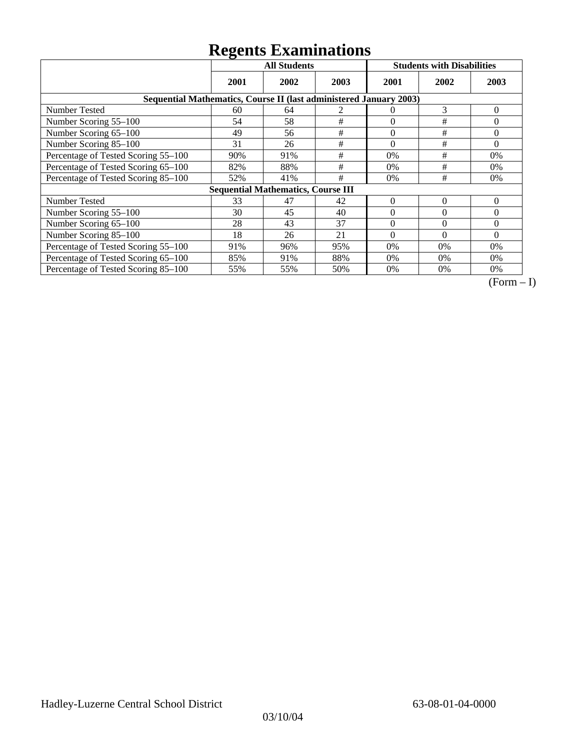|                                                                    | <b>All Students</b> |                                           |      | <b>Students with Disabilities</b> |          |                |  |  |
|--------------------------------------------------------------------|---------------------|-------------------------------------------|------|-----------------------------------|----------|----------------|--|--|
|                                                                    | 2001                | 2002                                      | 2003 | 2001                              | 2002     | 2003           |  |  |
| Sequential Mathematics, Course II (last administered January 2003) |                     |                                           |      |                                   |          |                |  |  |
| Number Tested                                                      | 60                  | 64                                        | 2    | $\theta$                          | 3        | $\overline{0}$ |  |  |
| Number Scoring 55-100                                              | 54                  | 58                                        | $\#$ | $\theta$                          | #        | $\Omega$       |  |  |
| Number Scoring 65-100                                              | 49                  | 56                                        | $\#$ | $\theta$                          | $\#$     | $\theta$       |  |  |
| Number Scoring 85-100                                              | 31                  | 26                                        | #    | $\theta$                          | #        | $\Omega$       |  |  |
| Percentage of Tested Scoring 55-100                                | 90%                 | 91%                                       | #    | 0%                                | #        | 0%             |  |  |
| Percentage of Tested Scoring 65-100                                | 82%                 | 88%                                       | #    | 0%                                | #        | $0\%$          |  |  |
| Percentage of Tested Scoring 85-100                                | 52%                 | 41%                                       | #    | 0%                                | #        | 0%             |  |  |
|                                                                    |                     | <b>Sequential Mathematics, Course III</b> |      |                                   |          |                |  |  |
| <b>Number Tested</b>                                               | 33                  | 47                                        | 42   | $\theta$                          | $\Omega$ | $\theta$       |  |  |
| Number Scoring 55–100                                              | 30                  | 45                                        | 40   | $\Omega$                          | $\Omega$ | $\Omega$       |  |  |
| Number Scoring 65-100                                              | 28                  | 43                                        | 37   | $\Omega$                          | $\Omega$ | $\Omega$       |  |  |
| Number Scoring 85-100                                              | 18                  | 26                                        | 21   | $\Omega$                          | $\Omega$ | $\Omega$       |  |  |
| Percentage of Tested Scoring 55-100                                | 91%                 | 96%                                       | 95%  | 0%                                | $0\%$    | $0\%$          |  |  |
| Percentage of Tested Scoring 65-100                                | 85%                 | 91%                                       | 88%  | 0%                                | $0\%$    | $0\%$          |  |  |
| Percentage of Tested Scoring 85-100                                | 55%                 | 55%                                       | 50%  | 0%                                | $0\%$    | 0%             |  |  |

 $\overline{(Form-I)}$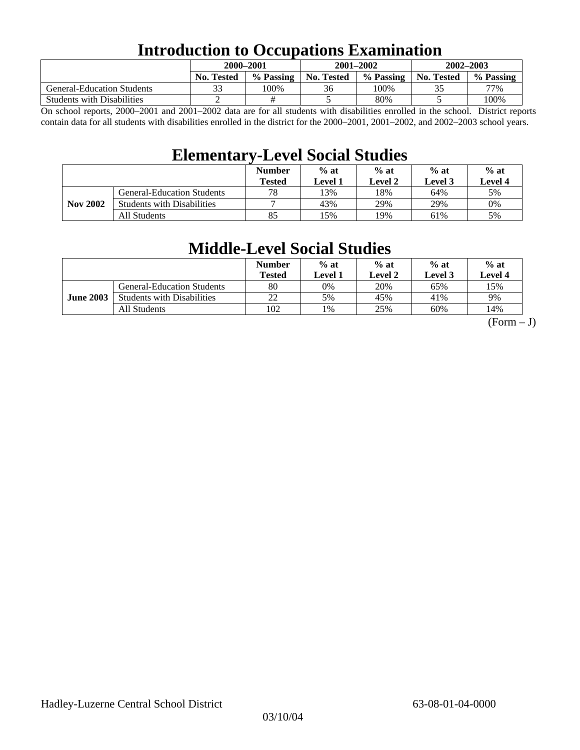### **Introduction to Occupations Examination**

|                                   | 2000–2001         |           |            | $2001 - 2002$ | $2002 - 2003$     |           |  |
|-----------------------------------|-------------------|-----------|------------|---------------|-------------------|-----------|--|
|                                   | <b>No. Tested</b> | % Passing | No. Tested | % Passing     | <b>No. Tested</b> | % Passing |  |
| <b>General-Education Students</b> |                   | 100%      | 36         | 100%          |                   | 77%       |  |
| <b>Students with Disabilities</b> |                   |           |            | 80%           |                   | 100%      |  |

On school reports, 2000–2001 and 2001–2002 data are for all students with disabilities enrolled in the school. District reports contain data for all students with disabilities enrolled in the district for the 2000–2001, 2001–2002, and 2002–2003 school years.

### **Elementary-Level Social Studies**

|                 |                                   | <b>Number</b><br><b>Tested</b> | $%$ at<br>Level 1 | $%$ at<br>Level 2 |     | $%$ at<br><b>Level 4</b> |
|-----------------|-----------------------------------|--------------------------------|-------------------|-------------------|-----|--------------------------|
| <b>Nov 2002</b> | <b>General-Education Students</b> | 78                             | 13%               | 18%               | 64% | 5%                       |
|                 | <b>Students with Disabilities</b> | −                              | 43%               | 29%               | 29% | $0\%$                    |
|                 | All Students                      | 85                             | 15%               | 19%               | 61% | 5%                       |

### **Middle-Level Social Studies**

|                  |                                   | <b>Number</b><br>Tested | $%$ at<br>Level 1 | $%$ at<br>Level 2 | $%$ at<br>Level 3 | $%$ at<br>Level 4 |
|------------------|-----------------------------------|-------------------------|-------------------|-------------------|-------------------|-------------------|
| <b>June 2003</b> | <b>General-Education Students</b> | 80                      | 0%                | 20%               | 65%               | 15%               |
|                  | <b>Students with Disabilities</b> | 22                      | 5%                | 45%               | 41%               | 9%                |
|                  | All Students                      | 102                     | 1%                | 25%               | 60%               | 14%               |

 $(Form - J)$